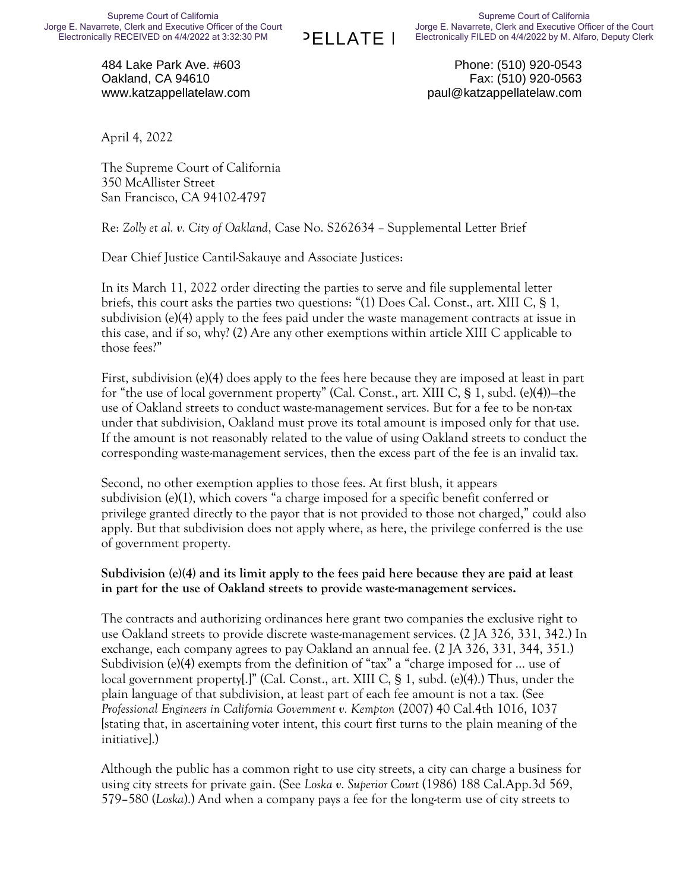PELLATE I

484 Lake Park Ave. #603 Oakland, CA 94610 www.katzappellatelaw.com

Phone: (510) 920-0543 Fax: (510) 920-0563 paul@katzappellatelaw.com

April 4, 2022

The Supreme Court of California 350 McAllister Street San Francisco, CA 94102-4797

Re: *Zolly et al. v. City of Oakland*, Case No. S262634 – Supplemental Letter Brief

Dear Chief Justice Cantil-Sakauye and Associate Justices:

In its March 11, 2022 order directing the parties to serve and file supplemental letter briefs, this court asks the parties two questions: "(1) Does Cal. Const., art. XIII C, § 1, subdivision (e)(4) apply to the fees paid under the waste management contracts at issue in this case, and if so, why? (2) Are any other exemptions within article XIII C applicable to those fees?"

First, subdivision (e)(4) does apply to the fees here because they are imposed at least in part for "the use of local government property" (Cal. Const., art. XIII C, § 1, subd. (e)(4))—the use of Oakland streets to conduct waste-management services. But for a fee to be non-tax under that subdivision, Oakland must prove its total amount is imposed only for that use. If the amount is not reasonably related to the value of using Oakland streets to conduct the corresponding waste-management services, then the excess part of the fee is an invalid tax.

Second, no other exemption applies to those fees. At first blush, it appears subdivision (e)(1), which covers "a charge imposed for a specific benefit conferred or privilege granted directly to the payor that is not provided to those not charged," could also apply. But that subdivision does not apply where, as here, the privilege conferred is the use of government property.

#### **Subdivision (e)(4) and its limit apply to the fees paid here because they are paid at least in part for the use of Oakland streets to provide waste-management services.**

The contracts and authorizing ordinances here grant two companies the exclusive right to use Oakland streets to provide discrete waste-management services. (2 JA 326, 331, 342.) In exchange, each company agrees to pay Oakland an annual fee. (2 JA 326, 331, 344, 351.) Subdivision (e)(4) exempts from the definition of "tax" a "charge imposed for … use of local government property[.]" (Cal. Const., art. XIII C, § 1, subd. (e)(4).) Thus, under the plain language of that subdivision, at least part of each fee amount is not a tax. (See *Professional Engineers in California Government v. Kempton* (2007) 40 Cal.4th 1016, 1037 [stating that, in ascertaining voter intent, this court first turns to the plain meaning of the initiative].)

Although the public has a common right to use city streets, a city can charge a business for using city streets for private gain. (See *Loska v. Superior Court* (1986) 188 Cal.App.3d 569, 579–580 (*Loska*).) And when a company pays a fee for the long-term use of city streets to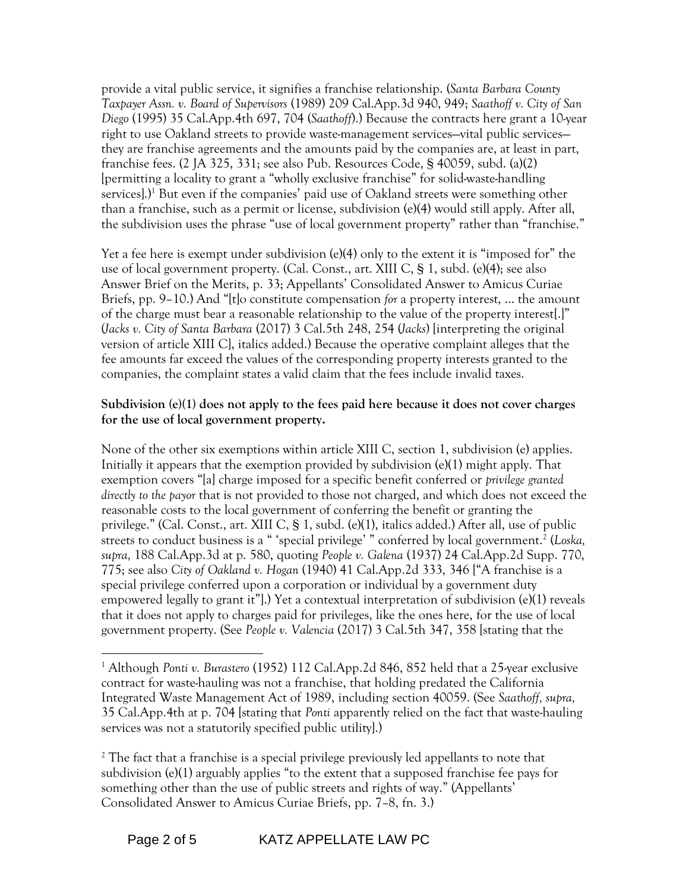provide a vital public service, it signifies a franchise relationship. (*Santa Barbara County Taxpayer Assn. v. Board of Supervisors* (1989) 209 Cal.App.3d 940, 949; *Saathoff v. City of San Diego* (1995) 35 Cal.App.4th 697, 704 (*Saathoff*).) Because the contracts here grant a 10-year right to use Oakland streets to provide waste-management services—vital public services they are franchise agreements and the amounts paid by the companies are, at least in part, franchise fees. (2 JA 325, 331; see also Pub. Resources Code, § 40059, subd. (a)(2) [permitting a locality to grant a "wholly exclusive franchise" for solid-waste-handling services].)<sup>1</sup> But even if the companies' paid use of Oakland streets were something other than a franchise, such as a permit or license, subdivision (e)(4) would still apply. After all, the subdivision uses the phrase "use of local government property" rather than "franchise."

Yet a fee here is exempt under subdivision (e)(4) only to the extent it is "imposed for" the use of local government property. (Cal. Const., art. XIII C, § 1, subd. (e)(4); see also Answer Brief on the Merits, p. 33; Appellants' Consolidated Answer to Amicus Curiae Briefs, pp. 9–10.) And "[t]o constitute compensation *for* a property interest, … the amount of the charge must bear a reasonable relationship to the value of the property interest[.]" (*Jacks v. City of Santa Barbara* (2017) 3 Cal.5th 248, 254 (*Jacks*) [interpreting the original version of article XIII C], italics added.) Because the operative complaint alleges that the fee amounts far exceed the values of the corresponding property interests granted to the companies, the complaint states a valid claim that the fees include invalid taxes.

#### **Subdivision (e)(1) does not apply to the fees paid here because it does not cover charges for the use of local government property.**

None of the other six exemptions within article XIII C, section 1, subdivision (e) applies. Initially it appears that the exemption provided by subdivision  $(e)(1)$  might apply. That exemption covers "[a] charge imposed for a specific benefit conferred or *privilege granted directly to the payor* that is not provided to those not charged, and which does not exceed the reasonable costs to the local government of conferring the benefit or granting the privilege." (Cal. Const., art. XIII C, § 1, subd. (e)(1), italics added.) After all, use of public streets to conduct business is a " 'special privilege' " conferred by local government.<sup>2</sup> (Loska, *supra,* 188 Cal.App.3d at p. 580, quoting *People v. Galena* (1937) 24 Cal.App.2d Supp. 770, 775; see also *City of Oakland v. Hogan* (1940) 41 Cal.App.2d 333, 346 ["A franchise is a special privilege conferred upon a corporation or individual by a government duty empowered legally to grant it"].) Yet a contextual interpretation of subdivision (e)(1) reveals that it does not apply to charges paid for privileges, like the ones here, for the use of local government property. (See *People v. Valencia* (2017) 3 Cal.5th 347, 358 [stating that the

<sup>1</sup> Although *Ponti v. Burastero* (1952) 112 Cal.App.2d 846, 852 held that a 25-year exclusive contract for waste-hauling was not a franchise, that holding predated the California Integrated Waste Management Act of 1989, including section 40059. (See *Saathoff, supra,* 35 Cal.App.4th at p. 704 [stating that *Ponti* apparently relied on the fact that waste-hauling services was not a statutorily specified public utility].)

<sup>&</sup>lt;sup>2</sup> The fact that a franchise is a special privilege previously led appellants to note that subdivision (e)(1) arguably applies "to the extent that a supposed franchise fee pays for something other than the use of public streets and rights of way." (Appellants' Consolidated Answer to Amicus Curiae Briefs, pp. 7–8, fn. 3.)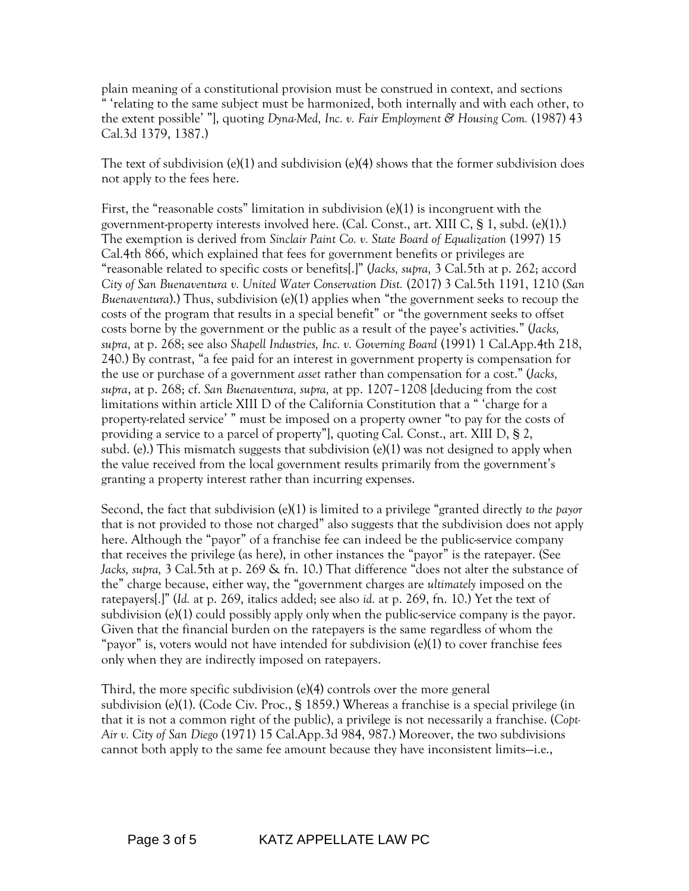plain meaning of a constitutional provision must be construed in context, and sections " 'relating to the same subject must be harmonized, both internally and with each other, to the extent possible' "], quoting *Dyna-Med, Inc. v. Fair Employment & Housing Com.* (1987) 43 Cal.3d 1379, 1387.)

The text of subdivision (e)(1) and subdivision (e)(4) shows that the former subdivision does not apply to the fees here.

First, the "reasonable costs" limitation in subdivision  $(e)(1)$  is incongruent with the government-property interests involved here. (Cal. Const., art. XIII C, § 1, subd. (e)(1).) The exemption is derived from *Sinclair Paint Co. v. State Board of Equalization* (1997) 15 Cal.4th 866, which explained that fees for government benefits or privileges are "reasonable related to specific costs or benefits[.]" (*Jacks, supra,* 3 Cal.5th at p. 262; accord *City of San Buenaventura v. United Water Conservation Dist.* (2017) 3 Cal.5th 1191, 1210 (*San Buenaventura*).) Thus, subdivision (e)(1) applies when "the government seeks to recoup the costs of the program that results in a special benefit" or "the government seeks to offset costs borne by the government or the public as a result of the payee's activities." (*Jacks, supra,* at p. 268; see also *Shapell Industries, Inc. v. Governing Board* (1991) 1 Cal.App.4th 218, 240.) By contrast, "a fee paid for an interest in government property is compensation for the use or purchase of a government *asset* rather than compensation for a cost." (*Jacks, supra*, at p. 268; cf. *San Buenaventura, supra,* at pp. 1207–1208 [deducing from the cost limitations within article XIII D of the California Constitution that a " 'charge for a property-related service' " must be imposed on a property owner "to pay for the costs of providing a service to a parcel of property"], quoting Cal. Const., art. XIII D, § 2, subd. (e).) This mismatch suggests that subdivision (e)(1) was not designed to apply when the value received from the local government results primarily from the government's granting a property interest rather than incurring expenses.

Second, the fact that subdivision (e)(1) is limited to a privilege "granted directly *to the payor* that is not provided to those not charged" also suggests that the subdivision does not apply here. Although the "payor" of a franchise fee can indeed be the public-service company that receives the privilege (as here), in other instances the "payor" is the ratepayer. (See *Jacks, supra,* 3 Cal.5th at p. 269 & fn. 10.) That difference "does not alter the substance of the" charge because, either way, the "government charges are *ultimately* imposed on the ratepayers[.]" (*Id.* at p. 269, italics added; see also *id.* at p. 269, fn. 10.) Yet the text of subdivision (e)(1) could possibly apply only when the public-service company is the payor. Given that the financial burden on the ratepayers is the same regardless of whom the "payor" is, voters would not have intended for subdivision (e)(1) to cover franchise fees only when they are indirectly imposed on ratepayers.

Third, the more specific subdivision (e)(4) controls over the more general subdivision (e)(1). (Code Civ. Proc., § 1859.) Whereas a franchise is a special privilege (in that it is not a common right of the public), a privilege is not necessarily a franchise. (*Copt-Air v. City of San Diego* (1971) 15 Cal.App.3d 984, 987.) Moreover, the two subdivisions cannot both apply to the same fee amount because they have inconsistent limits—i.e.,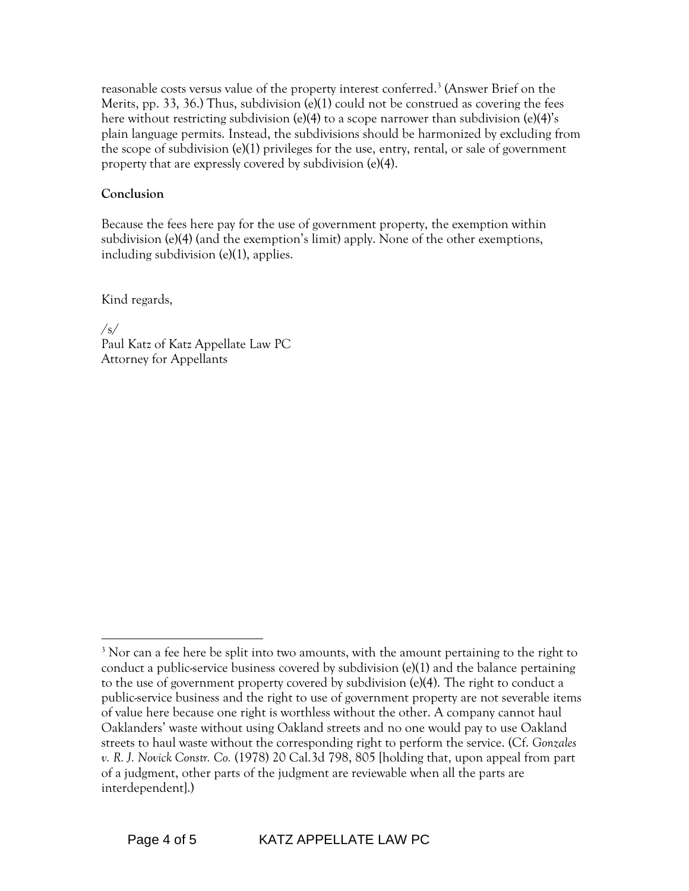reasonable costs versus value of the property interest conferred. 3 (Answer Brief on the Merits, pp. 33, 36.) Thus, subdivision  $(e)(1)$  could not be construed as covering the fees here without restricting subdivision (e)(4) to a scope narrower than subdivision (e)(4)'s plain language permits. Instead, the subdivisions should be harmonized by excluding from the scope of subdivision (e)(1) privileges for the use, entry, rental, or sale of government property that are expressly covered by subdivision (e)(4).

### **Conclusion**

Because the fees here pay for the use of government property, the exemption within subdivision (e)(4) (and the exemption's limit) apply. None of the other exemptions, including subdivision (e)(1), applies.

Kind regards,

/s/ Paul Katz of Katz Appellate Law PC Attorney for Appellants

<sup>&</sup>lt;sup>3</sup> Nor can a fee here be split into two amounts, with the amount pertaining to the right to conduct a public-service business covered by subdivision  $(e)(1)$  and the balance pertaining to the use of government property covered by subdivision (e)(4). The right to conduct a public-service business and the right to use of government property are not severable items of value here because one right is worthless without the other. A company cannot haul Oaklanders' waste without using Oakland streets and no one would pay to use Oakland streets to haul waste without the corresponding right to perform the service. (Cf. *Gonzales v. R. J. Novick Constr. Co.* (1978) 20 Cal.3d 798, 805 [holding that, upon appeal from part of a judgment, other parts of the judgment are reviewable when all the parts are interdependent].)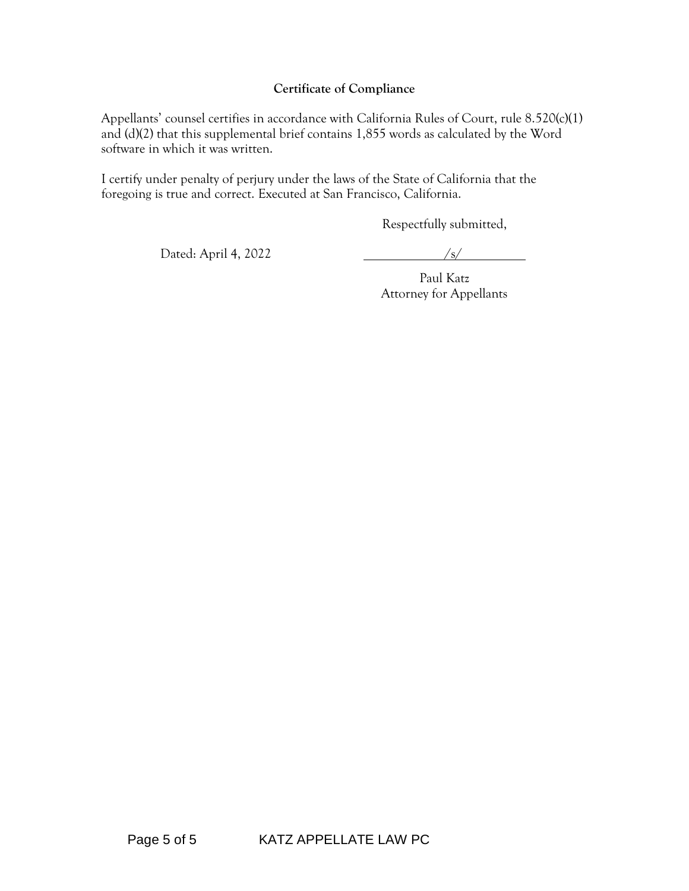#### **Certificate of Compliance**

Appellants' counsel certifies in accordance with California Rules of Court, rule 8.520(c)(1) and (d)(2) that this supplemental brief contains 1,855 words as calculated by the Word software in which it was written.

I certify under penalty of perjury under the laws of the State of California that the foregoing is true and correct. Executed at San Francisco, California.

Respectfully submitted,

Dated: April 4, 2022 /s/

Paul Katz Attorney for Appellants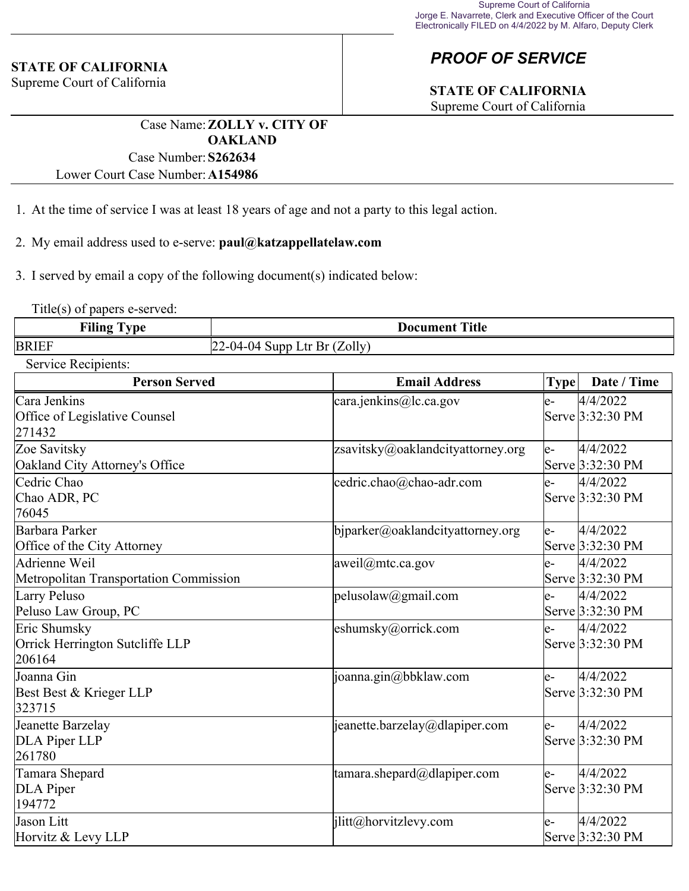#### **STATE OF CALIFORNIA**

Supreme Court of California

## *PROOF OF SERVICE*

# **STATE OF CALIFORNIA**

Supreme Court of California

Case Name:**ZOLLY v. CITY OF OAKLAND** Case Number:**S262634**

Lower Court Case Number:**A154986**

- 1. At the time of service I was at least 18 years of age and not a party to this legal action.
- 2. My email address used to e-serve: **paul@katzappellatelaw.com**
- 3. I served by email a copy of the following document(s) indicated below:

Title(s) of papers e-served:

| <b>Filing</b><br>. vpe | <b>Title</b><br>Document           |
|------------------------|------------------------------------|
| <b>BRIEF</b>           | Ltr Br $(Zolly)$<br>2-04-04 Supp ' |

Service Recipients:

| <b>Person Served</b>                                      | <b>Email Address</b>                    | Date / Time<br><b>Type</b>            |
|-----------------------------------------------------------|-----------------------------------------|---------------------------------------|
| Cara Jenkins<br>Office of Legislative Counsel<br>271432   | $\text{cara.jenkins@lc.ca.gov}$         | 4/4/2022<br>le-<br>Serve 3:32:30 PM   |
| Zoe Savitsky<br>Oakland City Attorney's Office            | zsavitsky@oaklandcityattorney.org       | 4/4/2022<br>le-<br>Serve 3:32:30 PM   |
| Cedric Chao<br>Chao ADR, PC<br>76045                      | cedric.chao@chao-adr.com                | 4/4/2022<br>$ e-$<br>Serve 3:32:30 PM |
| Barbara Parker<br>Office of the City Attorney             | $\phi$ bjparker@oaklandcityattorney.org | 4/4/2022<br>le-<br>Serve 3:32:30 PM   |
| Adrienne Weil<br>Metropolitan Transportation Commission   | aweil@mtc.ca.gov                        | 4/4/2022<br>le-<br>Serve 3:32:30 PM   |
| Larry Peluso<br>Peluso Law Group, PC                      | pelusolaw@gmail.com                     | 4/4/2022<br>le-<br>Serve 3:32:30 PM   |
| Eric Shumsky<br>Orrick Herrington Sutcliffe LLP<br>206164 | eshumsky@orrick.com                     | 4/4/2022<br>le-<br>Serve 3:32:30 PM   |
| Joanna Gin<br>Best Best & Krieger LLP<br>323715           | joanna.gin@bbklaw.com                   | 4/4/2022<br>le-<br>Serve 3:32:30 PM   |
| Jeanette Barzelay<br>DLA Piper LLP<br>261780              | $ $ jeanette.barzelay@dlapiper.com      | 4/4/2022<br>le-<br>Serve 3:32:30 PM   |
| Tamara Shepard<br>DLA Piper<br>194772                     | tamara.shepard@dlapiper.com             | 4/4/2022<br>le-<br>Serve 3:32:30 PM   |
| Jason Litt<br>Horvitz & Levy LLP                          | ilitt@horvitzlevy.com                   | 4/4/2022<br>le-<br>Serve 3:32:30 PM   |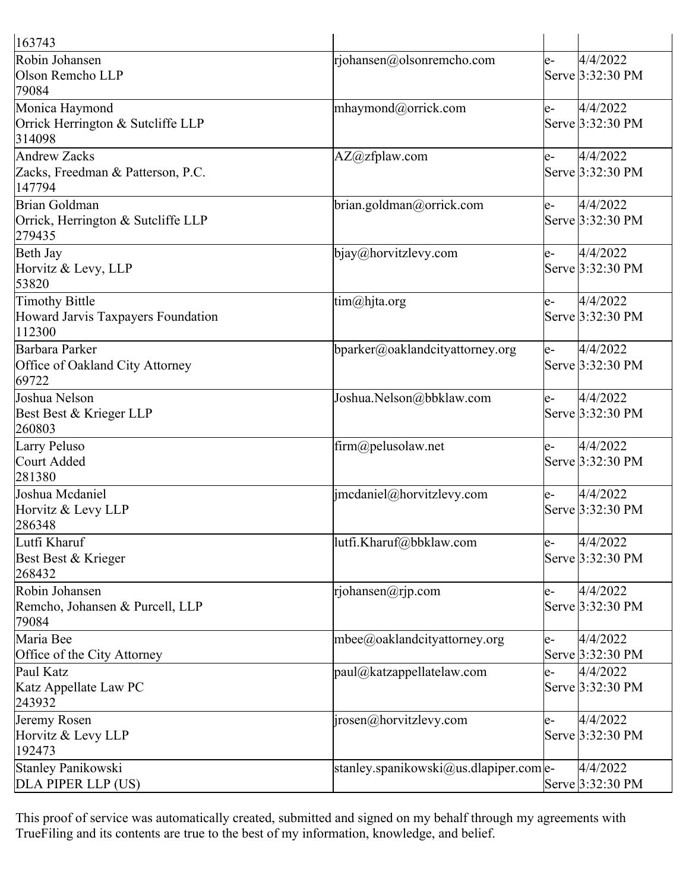| 163743                                                         |                                        |     |                              |
|----------------------------------------------------------------|----------------------------------------|-----|------------------------------|
| Robin Johansen<br>Olson Remcho LLP<br>79084                    | rjohansen@olsonremcho.com              | e-  | 4/4/2022<br>Serve 3:32:30 PM |
| Monica Haymond<br>Orrick Herrington & Sutcliffe LLP<br>314098  | mhaymond@orrick.com                    | le- | 4/4/2022<br>Serve 3:32:30 PM |
| Andrew Zacks<br>Zacks, Freedman & Patterson, P.C.<br>147794    | AZ@zfplaw.com                          | le- | 4/4/2022<br>Serve 3:32:30 PM |
| Brian Goldman<br>Orrick, Herrington & Sutcliffe LLP<br>279435  | brian.goldman@orrick.com               | e-  | 4/4/2022<br>Serve 3:32:30 PM |
| Beth Jay<br>Horvitz & Levy, LLP<br>53820                       | $bigq_{\phi}$ bjay@horvitzlevy.com     | le- | 4/4/2022<br>Serve 3:32:30 PM |
| Timothy Bittle<br>Howard Jarvis Taxpayers Foundation<br>112300 | $\lim(\omega)$ hjta.org                | le- | 4/4/2022<br>Serve 3:32:30 PM |
| Barbara Parker<br>Office of Oakland City Attorney<br>69722     | bparker@oaklandcityattorney.org        | le- | 4/4/2022<br>Serve 3:32:30 PM |
| Joshua Nelson<br>Best Best & Krieger LLP<br>260803             | Joshua.Nelson@bbklaw.com               | e-  | 4/4/2022<br>Serve 3:32:30 PM |
| Larry Peluso<br>Court Added<br>281380                          | firm@pelusolaw.net                     | e-  | 4/4/2022<br>Serve 3:32:30 PM |
| Joshua Mcdaniel<br>Horvitz & Levy LLP<br>286348                | jmcdaniel@horvitzlevy.com              | le- | 4/4/2022<br>Serve 3:32:30 PM |
| Lutfi Kharuf<br>Best Best & Krieger<br>268432                  | lutfi.Kharuf@bbklaw.com                | e-  | 4/4/2022<br>Serve 3:32:30 PM |
| Robin Johansen<br>Remcho, Johansen & Purcell, LLP<br>79084     | rjohansen@rjp.com                      | le- | 4/4/2022<br>Serve 3:32:30 PM |
| Maria Bee<br>Office of the City Attorney                       | mbee@oaklandcityattorney.org           | le- | 4/4/2022<br>Serve 3:32:30 PM |
| Paul Katz<br>Katz Appellate Law PC<br>243932                   | $[$ paul $\omega$ katzappellatelaw.com | le- | 4/4/2022<br>Serve 3:32:30 PM |
| Jeremy Rosen<br>Horvitz & Levy LLP<br>192473                   | $ i$ rosen@horvitzlevy.com             | le- | 4/4/2022<br>Serve 3:32:30 PM |
| Stanley Panikowski<br>DLA PIPER LLP (US)                       | stanley.spanikowski@us.dlapiper.com e- |     | 4/4/2022<br>Serve 3:32:30 PM |

This proof of service was automatically created, submitted and signed on my behalf through my agreements with TrueFiling and its contents are true to the best of my information, knowledge, and belief.